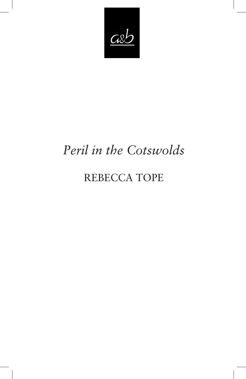

## *Peril in the Cotswolds*

## REBECCA TOPE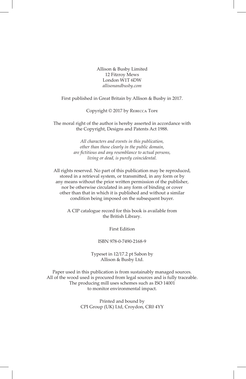Allison & Busby Limited 12 Fitzroy Mews London W1T 6DW *allisonandbusby.com*

First published in Great Britain by Allison & Busby in 2017.

Copyright © 2017 by Rebecca Tope

The moral right of the author is hereby asserted in accordance with the Copyright, Designs and Patents Act 1988.

> *All characters and events in this publication, other than those clearly in the public domain, are fictitious and any resemblance to actual persons, living or dead, is purely coincidental.*

All rights reserved. No part of this publication may be reproduced, stored in a retrieval system, or transmitted, in any form or by any means without the prior written permission of the publisher, nor be otherwise circulated in any form of binding or cover other than that in which it is published and without a similar condition being imposed on the subsequent buyer.

> A CIP catalogue record for this book is available from the British Library.

> > First Edition

ISBN 978-0-7490-2168-9

Typeset in 12/17.2 pt Sabon by Allison & Busby Ltd.

Paper used in this publication is from sustainably managed sources. All of the wood used is procured from legal sources and is fully traceable. The producing mill uses schemes such as ISO 14001 to monitor environmental impact.

> Printed and bound by CPI Group (UK) Ltd, Croydon, CR0 4YY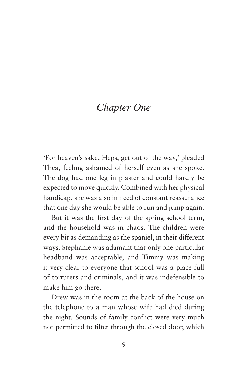## *Chapter One*

'For heaven's sake, Heps, get out of the way,' pleaded Thea, feeling ashamed of herself even as she spoke. The dog had one leg in plaster and could hardly be expected to move quickly. Combined with her physical handicap, she was also in need of constant reassurance that one day she would be able to run and jump again.

But it was the first day of the spring school term, and the household was in chaos. The children were every bit as demanding as the spaniel, in their different ways. Stephanie was adamant that only one particular headband was acceptable, and Timmy was making it very clear to everyone that school was a place full of torturers and criminals, and it was indefensible to make him go there.

Drew was in the room at the back of the house on the telephone to a man whose wife had died during the night. Sounds of family conflict were very much not permitted to filter through the closed door, which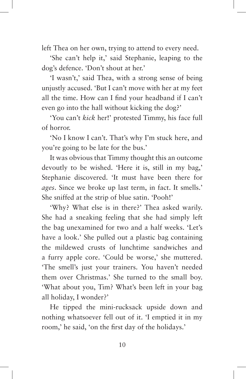left Thea on her own, trying to attend to every need.

'She can't help it,' said Stephanie, leaping to the dog's defence. 'Don't shout at her.'

'I wasn't,' said Thea, with a strong sense of being unjustly accused. 'But I can't move with her at my feet all the time. How can I find your headband if I can't even go into the hall without kicking the dog?'

'You can't *kick* her!' protested Timmy, his face full of horror.

'No I know I can't. That's why I'm stuck here, and you're going to be late for the bus.'

It was obvious that Timmy thought this an outcome devoutly to be wished. 'Here it is, still in my bag,' Stephanie discovered. 'It must have been there for *ages*. Since we broke up last term, in fact. It smells.' She sniffed at the strip of blue satin. 'Pooh!'

'Why? What else is in there?' Thea asked warily. She had a sneaking feeling that she had simply left the bag unexamined for two and a half weeks. 'Let's have a look.' She pulled out a plastic bag containing the mildewed crusts of lunchtime sandwiches and a furry apple core. 'Could be worse,' she muttered. 'The smell's just your trainers. You haven't needed them over Christmas.' She turned to the small boy. 'What about you, Tim? What's been left in your bag all holiday, I wonder?'

He tipped the mini-rucksack upside down and nothing whatsoever fell out of it. 'I emptied it in my room,' he said, 'on the first day of the holidays.'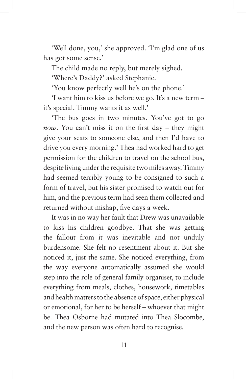'Well done, you,' she approved. 'I'm glad one of us has got some sense.'

The child made no reply, but merely sighed.

'Where's Daddy?' asked Stephanie.

'You know perfectly well he's on the phone.'

'I want him to kiss us before we go. It's a new term – it's special. Timmy wants it as well.'

'The bus goes in two minutes. You've got to go *now*. You can't miss it on the first day – they might give your seats to someone else, and then I'd have to drive you every morning.' Thea had worked hard to get permission for the children to travel on the school bus, despite living under the requisite two miles away. Timmy had seemed terribly young to be consigned to such a form of travel, but his sister promised to watch out for him, and the previous term had seen them collected and returned without mishap, five days a week.

It was in no way her fault that Drew was unavailable to kiss his children goodbye. That she was getting the fallout from it was inevitable and not unduly burdensome. She felt no resentment about it. But she noticed it, just the same. She noticed everything, from the way everyone automatically assumed she would step into the role of general family organiser, to include everything from meals, clothes, housework, timetables and health matters to the absence of space, either physical or emotional, for her to be herself – whoever that might be. Thea Osborne had mutated into Thea Slocombe, and the new person was often hard to recognise.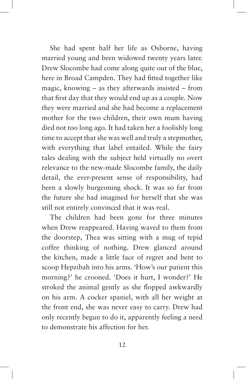She had spent half her life as Osborne, having married young and been widowed twenty years later. Drew Slocombe had come along quite out of the blue, here in Broad Campden. They had fitted together like magic, knowing – as they afterwards insisted – from that first day that they would end up as a couple. Now they were married and she had become a replacement mother for the two children, their own mum having died not too long ago. It had taken her a foolishly long time to accept that she was well and truly a stepmother, with everything that label entailed. While the fairy tales dealing with the subject held virtually no overt relevance to the new-made Slocombe family, the daily detail, the ever-present sense of responsibility, had been a slowly burgeoning shock. It was so far from the future she had imagined for herself that she was still not entirely convinced that it was real.

The children had been gone for three minutes when Drew reappeared. Having waved to them from the doorstep, Thea was sitting with a mug of tepid coffee thinking of nothing. Drew glanced around the kitchen, made a little face of regret and bent to scoop Hepzibah into his arms. 'How's our patient this morning?' he crooned. 'Does it hurt, I wonder?' He stroked the animal gently as she flopped awkwardly on his arm. A cocker spaniel, with all her weight at the front end, she was never easy to carry. Drew had only recently begun to do it, apparently feeling a need to demonstrate his affection for her.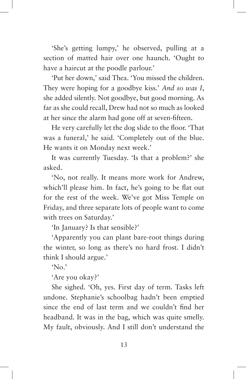'She's getting lumpy,' he observed, pulling at a section of matted hair over one haunch. 'Ought to have a haircut at the poodle parlour.'

'Put her down,' said Thea. 'You missed the children. They were hoping for a goodbye kiss.' *And so was I*, she added silently. Not goodbye, but good morning. As far as she could recall, Drew had not so much as looked at her since the alarm had gone off at seven-fifteen.

He very carefully let the dog slide to the floor. 'That was a funeral,' he said. 'Completely out of the blue. He wants it on Monday next week.'

It was currently Tuesday. 'Is that a problem?' she asked.

'No, not really. It means more work for Andrew, which'll please him. In fact, he's going to be flat out for the rest of the week. We've got Miss Temple on Friday, and three separate lots of people want to come with trees on Saturday.'

'In January? Is that sensible?'

'Apparently you can plant bare-root things during the winter, so long as there's no hard frost. I didn't think I should argue.'

'No.'

'Are you okay?'

She sighed. 'Oh, yes. First day of term. Tasks left undone. Stephanie's schoolbag hadn't been emptied since the end of last term and we couldn't find her headband. It was in the bag, which was quite smelly. My fault, obviously. And I still don't understand the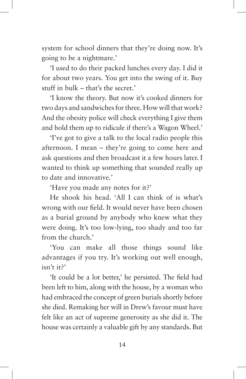system for school dinners that they're doing now. It's going to be a nightmare.'

'I used to do their packed lunches every day. I did it for about two years. You get into the swing of it. Buy stuff in bulk – that's the secret.'

'I know the theory. But now it's cooked dinners for two days and sandwiches for three. How will that work? And the obesity police will check everything I give them and hold them up to ridicule if there's a Wagon Wheel.'

'I've got to give a talk to the local radio people this afternoon. I mean – they're going to come here and ask questions and then broadcast it a few hours later. I wanted to think up something that sounded really up to date and innovative.'

'Have you made any notes for it?'

He shook his head. 'All I can think of is what's wrong with our field. It would never have been chosen as a burial ground by anybody who knew what they were doing. It's too low-lying, too shady and too far from the church.'

'You can make all those things sound like advantages if you try. It's working out well enough, isn't it?'

'It could be a lot better,' he persisted. The field had been left to him, along with the house, by a woman who had embraced the concept of green burials shortly before she died. Remaking her will in Drew's favour must have felt like an act of supreme generosity as she did it. The house was certainly a valuable gift by any standards. But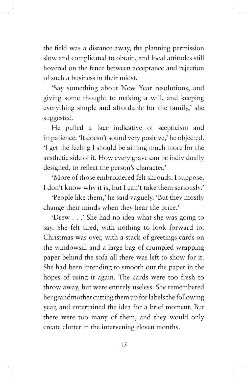the field was a distance away, the planning permission slow and complicated to obtain, and local attitudes still hovered on the fence between acceptance and rejection of such a business in their midst.

'Say something about New Year resolutions, and giving some thought to making a will, and keeping everything simple and affordable for the family,' she suggested.

He pulled a face indicative of scepticism and impatience. 'It doesn't sound very positive,' he objected. 'I get the feeling I should be aiming much more for the aesthetic side of it. How every grave can be individually designed, to reflect the person's character.'

'More of those embroidered felt shrouds, I suppose. I don't know why it is, but I can't take them seriously.'

'People like them,' he said vaguely. 'But they mostly change their minds when they hear the price.'

'Drew . . .' She had no idea what she was going to say. She felt tired, with nothing to look forward to. Christmas was over, with a stack of greetings cards on the windowsill and a large bag of crumpled wrapping paper behind the sofa all there was left to show for it. She had been intending to smooth out the paper in the hopes of using it again. The cards were too fresh to throw away, but were entirely useless. She remembered her grandmother cutting them up for labels the following year, and entertained the idea for a brief moment. But there were too many of them, and they would only create clutter in the intervening eleven months.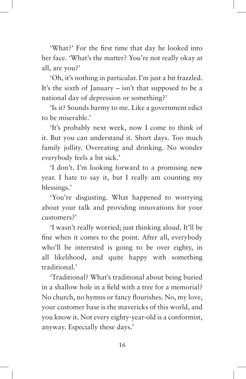'What?' For the first time that day he looked into her face. 'What's the matter? You're not really okay at all, are you?'

'Oh, it's nothing in particular. I'm just a bit frazzled. It's the sixth of January – isn't that supposed to be a national day of depression or something?'

'Is it? Sounds barmy to me. Like a government edict to be miserable.'

'It's probably next week, now I come to think of it. But you can understand it. Short days. Too much family jollity. Overeating and drinking. No wonder everybody feels a bit sick.'

'I don't. I'm looking forward to a promising new year. I hate to say it, but I really am counting my blessings.'

'You're disgusting. What happened to worrying about your talk and providing innovations for your customers?'

'I wasn't really worried; just thinking aloud. It'll be fine when it comes to the point. After all, everybody who'll be interested is going to be over eighty, in all likelihood, and quite happy with something traditional.'

'Traditional? What's traditional about being buried in a shallow hole in a field with a tree for a memorial? No church, no hymns or fancy flourishes. No, my love, your customer base is the mavericks of this world, and you know it. Not every eighty-year-old is a conformist, anyway. Especially these days.'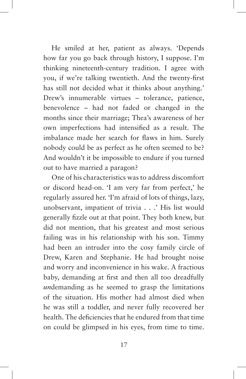He smiled at her, patient as always. 'Depends how far you go back through history, I suppose. I'm thinking nineteenth-century tradition. I agree with you, if we're talking twentieth. And the twenty-first has still not decided what it thinks about anything.' Drew's innumerable virtues – tolerance, patience, benevolence – had not faded or changed in the months since their marriage; Thea's awareness of her own imperfections had intensified as a result. The imbalance made her search for flaws in him. Surely nobody could be as perfect as he often seemed to be? And wouldn't it be impossible to endure if you turned out to have married a paragon?

One of his characteristics was to address discomfort or discord head-on. 'I am very far from perfect,' he regularly assured her. 'I'm afraid of lots of things, lazy, unobservant, impatient of trivia . . .' His list would generally fizzle out at that point. They both knew, but did not mention, that his greatest and most serious failing was in his relationship with his son. Timmy had been an intruder into the cosy family circle of Drew, Karen and Stephanie. He had brought noise and worry and inconvenience in his wake. A fractious baby, demanding at first and then all too dreadfully *un*demanding as he seemed to grasp the limitations of the situation. His mother had almost died when he was still a toddler, and never fully recovered her health. The deficiencies that he endured from that time on could be glimpsed in his eyes, from time to time.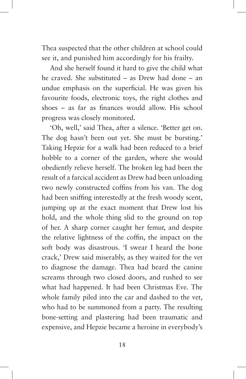Thea suspected that the other children at school could see it, and punished him accordingly for his frailty.

And she herself found it hard to give the child what he craved. She substituted – as Drew had done – an undue emphasis on the superficial. He was given his favourite foods, electronic toys, the right clothes and shoes – as far as finances would allow. His school progress was closely monitored.

'Oh, well,' said Thea, after a silence. 'Better get on. The dog hasn't been out yet. She must be bursting.' Taking Hepzie for a walk had been reduced to a brief hobble to a corner of the garden, where she would obediently relieve herself. The broken leg had been the result of a farcical accident as Drew had been unloading two newly constructed coffins from his van. The dog had been sniffing interestedly at the fresh woody scent, jumping up at the exact moment that Drew lost his hold, and the whole thing slid to the ground on top of her. A sharp corner caught her femur, and despite the relative lightness of the coffin, the impact on the soft body was disastrous. 'I swear I heard the bone crack,' Drew said miserably, as they waited for the vet to diagnose the damage. Thea had heard the canine screams through two closed doors, and rushed to see what had happened. It had been Christmas Eve. The whole family piled into the car and dashed to the vet, who had to be summoned from a party. The resulting bone-setting and plastering had been traumatic and expensive, and Hepzie became a heroine in everybody's